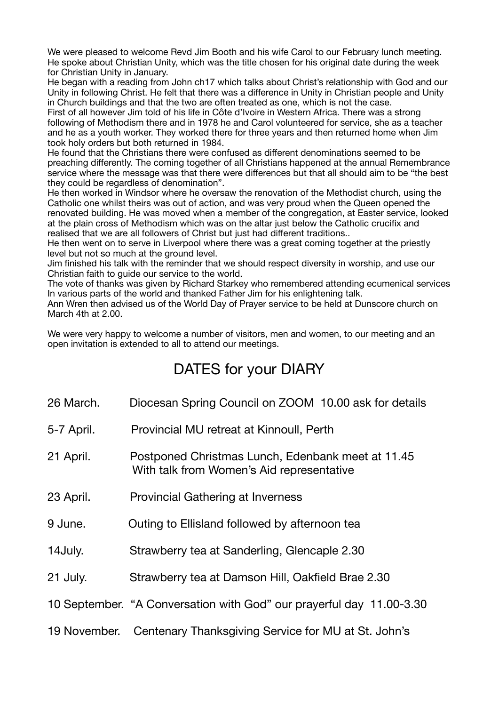We were pleased to welcome Revd Jim Booth and his wife Carol to our February lunch meeting. He spoke about Christian Unity, which was the title chosen for his original date during the week for Christian Unity in January.

He began with a reading from John ch17 which talks about Christ's relationship with God and our Unity in following Christ. He felt that there was a difference in Unity in Christian people and Unity in Church buildings and that the two are often treated as one, which is not the case.

First of all however Jim told of his life in Côte d'Ivoire in Western Africa. There was a strong following of Methodism there and in 1978 he and Carol volunteered for service, she as a teacher and he as a youth worker. They worked there for three years and then returned home when Jim took holy orders but both returned in 1984.

He found that the Christians there were confused as different denominations seemed to be preaching differently. The coming together of all Christians happened at the annual Remembrance service where the message was that there were differences but that all should aim to be "the best they could be regardless of denomination".

He then worked in Windsor where he oversaw the renovation of the Methodist church, using the Catholic one whilst theirs was out of action, and was very proud when the Queen opened the renovated building. He was moved when a member of the congregation, at Easter service, looked at the plain cross of Methodism which was on the altar just below the Catholic crucifix and realised that we are all followers of Christ but just had different traditions..

He then went on to serve in Liverpool where there was a great coming together at the priestly level but not so much at the ground level.

Jim finished his talk with the reminder that we should respect diversity in worship, and use our Christian faith to guide our service to the world.

The vote of thanks was given by Richard Starkey who remembered attending ecumenical services In various parts of the world and thanked Father Jim for his enlightening talk.

Ann Wren then advised us of the World Day of Prayer service to be held at Dunscore church on March 4th at 2.00.

We were very happy to welcome a number of visitors, men and women, to our meeting and an open invitation is extended to all to attend our meetings.

## DATES for your DIARY

- 26 March. Diocesan Spring Council on ZOOM 10.00 ask for details
- 5-7 April. Provincial MU retreat at Kinnoull, Perth
- 21 April. Postponed Christmas Lunch, Edenbank meet at 11.45 With talk from Women's Aid representative
- 23 April. Provincial Gathering at Inverness
- 9 June. Outing to Ellisland followed by afternoon tea
- 14July. Strawberry tea at Sanderling, Glencaple 2.30
- 21 July. Strawberry tea at Damson Hill, Oakfield Brae 2.30
- 10 September. "A Conversation with God" our prayerful day 11.00-3.30
- 19 November. Centenary Thanksgiving Service for MU at St. John's